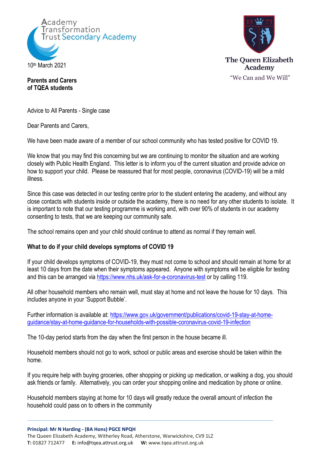



**Parents and Carers of TQEA students**

Advice to All Parents - Single case

Dear Parents and Carers,

We have been made aware of a member of our school community who has tested positive for COVID 19.

We know that you may find this concerning but we are continuing to monitor the situation and are working closely with Public Health England. This letter is to inform you of the current situation and provide advice on how to support your child. Please be reassured that for most people, coronavirus (COVID-19) will be a mild illness.

Since this case was detected in our testing centre prior to the student entering the academy, and without any close contacts with students inside or outside the academy, there is no need for any other students to isolate. It is important to note that our testing programme is working and, with over 90% of students in our academy consenting to tests, that we are keeping our community safe.

The school remains open and your child should continue to attend as normal if they remain well.

# **What to do if your child develops symptoms of COVID 19**

If your child develops symptoms of COVID-19, they must not come to school and should remain at home for at least 10 days from the date when their symptoms appeared. Anyone with symptoms will be eligible for testing and this can be arranged via<https://www.nhs.uk/ask-for-a-coronavirus-test> or by calling 119.

All other household members who remain well, must stay at home and not leave the house for 10 days. This includes anyone in your 'Support Bubble'.

Further information is available at: https://www.gov.uk/government/publications/covid-19-stav-at-home[guidance/stay-at-home-guidance-for-households-with-possible-coronavirus-covid-19-infection](https://www.gov.uk/government/publications/covid-19-stay-at-home-guidance/stay-at-home-guidance-for-households-with-possible-coronavirus-covid-19-infection)

The 10-day period starts from the day when the first person in the house became ill.

Household members should not go to work, school or public areas and exercise should be taken within the home.

If you require help with buying groceries, other shopping or picking up medication, or walking a dog, you should ask friends or family. Alternatively, you can order your shopping online and medication by phone or online.

Household members staying at home for 10 days will greatly reduce the overall amount of infection the household could pass on to others in the community